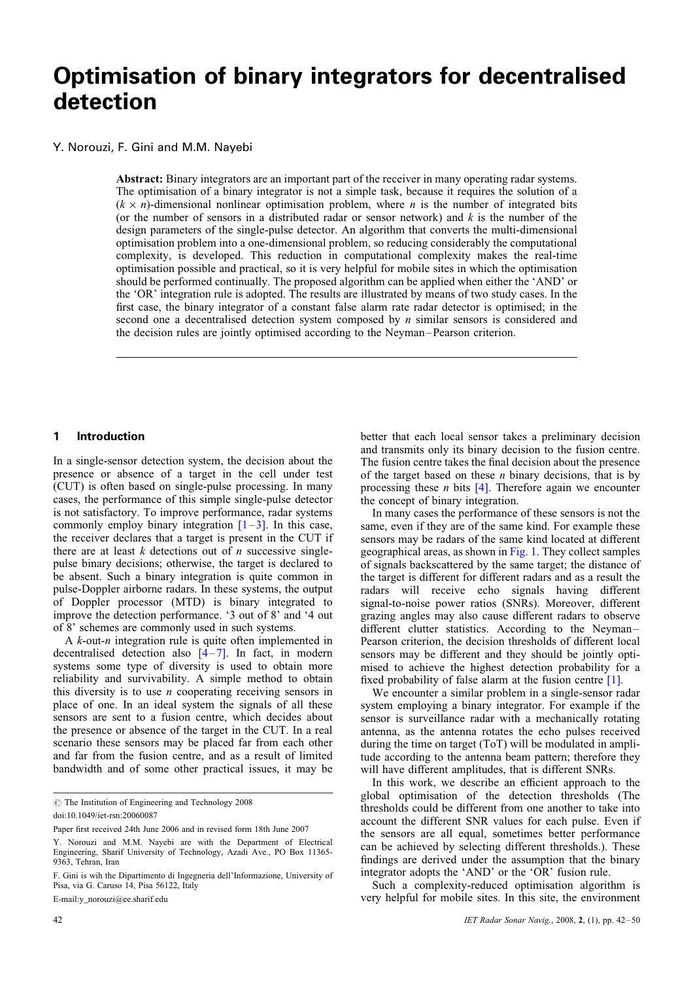# Optimisation of binary integrators for decentralised detection

Y. Norouzi, F. Gini and M.M. Nayebi

Abstract: Binary integrators are an important part of the receiver in many operating radar systems. The optimisation of a binary integrator is not a simple task, because it requires the solution of a  $(k \times n)$ -dimensional nonlinear optimisation problem, where *n* is the number of integrated bits (or the number of sensors in a distributed radar or sensor network) and  $k$  is the number of the design parameters of the single-pulse detector. An algorithm that converts the multi-dimensional optimisation problem into a one-dimensional problem, so reducing considerably the computational complexity, is developed. This reduction in computational complexity makes the real-time optimisation possible and practical, so it is very helpful for mobile sites in which the optimisation should be performed continually. The proposed algorithm can be applied when either the 'AND' or the 'OR' integration rule is adopted. The results are illustrated by means of two study cases. In the first case, the binary integrator of a constant false alarm rate radar detector is optimised; in the second one a decentralised detection system composed by *n* similar sensors is considered and the decision rules are jointly optimised according to the Neyman–Pearson criterion.

# 1 Introduction

In a single-sensor detection system, the decision about the presence or absence of a target in the cell under test (CUT) is often based on single-pulse processing. In many cases, the performance of this simple single-pulse detector is not satisfactory. To improve performance, radar systems commonly employ binary integration  $[1-3]$ . In this case, the receiver declares that a target is present in the CUT if there are at least  $k$  detections out of  $n$  successive singlepulse binary decisions; otherwise, the target is declared to be absent. Such a binary integration is quite common in pulse-Doppler airborne radars. In these systems, the output of Doppler processor (MTD) is binary integrated to improve the detection performance. '3 out of 8' and '4 out of 8' schemes are commonly used in such systems.

A k-out-n integration rule is quite often implemented in decentralised detection also  $[4-7]$ . In fact, in modern systems some type of diversity is used to obtain more reliability and survivability. A simple method to obtain this diversity is to use  $n$  cooperating receiving sensors in place of one. In an ideal system the signals of all these sensors are sent to a fusion centre, which decides about the presence or absence of the target in the CUT. In a real scenario these sensors may be placed far from each other and far from the fusion centre, and as a result of limited bandwidth and of some other practical issues, it may be

 $\odot$  The Institution of Engineering and Technology 2008

Y. Norouzi and M.M. Nayebi are with the Department of Electrical Engineering, Sharif University of Technology, Azadi Ave., PO Box 11365- 9363, Tehran, Iran

E-mail:y\_norouzi@ee.sharif.edu

better that each local sensor takes a preliminary decision and transmits only its binary decision to the fusion centre. The fusion centre takes the final decision about the presence of the target based on these  $n$  binary decisions, that is by processing these *n* bits  $[4]$ . Therefore again we encounter the concept of binary integration.

In many cases the performance of these sensors is not the same, even if they are of the same kind. For example these sensors may be radars of the same kind located at different geographical areas, as shown in Fig. 1. They collect samples of signals backscattered by the same target; the distance of the target is different for different radars and as a result the radars will receive echo signals having different signal-to-noise power ratios (SNRs). Moreover, different grazing angles may also cause different radars to observe different clutter statistics. According to the Neyman– Pearson criterion, the decision thresholds of different local sensors may be different and they should be jointly optimised to achieve the highest detection probability for a fixed probability of false alarm at the fusion centre [1].

We encounter a similar problem in a single-sensor radar system employing a binary integrator. For example if the sensor is surveillance radar with a mechanically rotating antenna, as the antenna rotates the echo pulses received during the time on target (ToT) will be modulated in amplitude according to the antenna beam pattern; therefore they will have different amplitudes, that is different SNRs.

In this work, we describe an efficient approach to the global optimisation of the detection thresholds (The thresholds could be different from one another to take into account the different SNR values for each pulse. Even if the sensors are all equal, sometimes better performance can be achieved by selecting different thresholds.). These findings are derived under the assumption that the binary integrator adopts the 'AND' or the 'OR' fusion rule.

Such a complexity-reduced optimisation algorithm is very helpful for mobile sites. In this site, the environment

doi:10.1049/iet-rsn:20060087

Paper first received 24th June 2006 and in revised form 18th June 2007

F. Gini is wih the Dipartimento di Ingegneria dell'Informazione, University of Pisa, via G. Caruso 14, Pisa 56122, Italy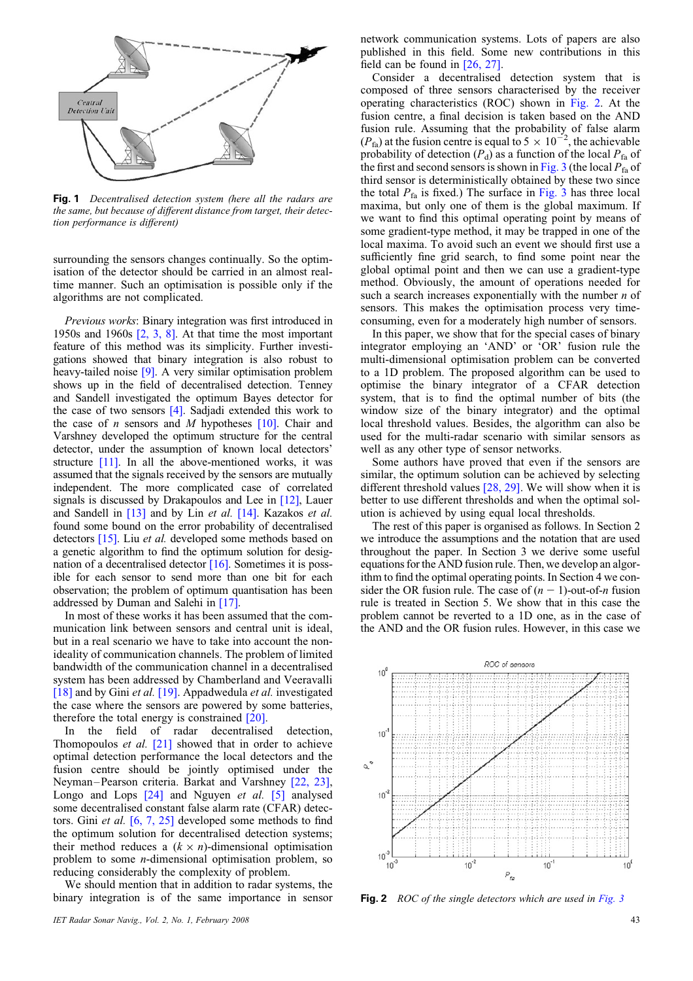

Fig. 1 Decentralised detection system (here all the radars are the same, but because of different distance from target, their detection performance is different)

surrounding the sensors changes continually. So the optimisation of the detector should be carried in an almost realtime manner. Such an optimisation is possible only if the algorithms are not complicated.

Previous works: Binary integration was first introduced in 1950s and 1960s  $\lceil 2, 3, 8 \rceil$ . At that time the most important feature of this method was its simplicity. Further investigations showed that binary integration is also robust to heavy-tailed noise [9]. A very similar optimisation problem shows up in the field of decentralised detection. Tenney and Sandell investigated the optimum Bayes detector for the case of two sensors [4]. Sadjadi extended this work to the case of *n* sensors and *M* hypotheses  $[10]$ . Chair and Varshney developed the optimum structure for the central detector, under the assumption of known local detectors' structure [11]. In all the above-mentioned works, it was assumed that the signals received by the sensors are mutually independent. The more complicated case of correlated signals is discussed by Drakapoulos and Lee in [12], Lauer and Sandell in [13] and by Lin et al. [14]. Kazakos et al. found some bound on the error probability of decentralised detectors [15]. Liu et al. developed some methods based on a genetic algorithm to find the optimum solution for designation of a decentralised detector  $[16]$ . Sometimes it is possible for each sensor to send more than one bit for each observation; the problem of optimum quantisation has been addressed by Duman and Salehi in [17].

In most of these works it has been assumed that the communication link between sensors and central unit is ideal, but in a real scenario we have to take into account the nonideality of communication channels. The problem of limited bandwidth of the communication channel in a decentralised system has been addressed by Chamberland and Veeravalli [18] and by Gini et al. [19]. Appadwedula et al. investigated the case where the sensors are powered by some batteries, therefore the total energy is constrained [20].

In the field of radar decentralised detection, Thomopoulos *et al.*  $[21]$  showed that in order to achieve optimal detection performance the local detectors and the fusion centre should be jointly optimised under the Neyman–Pearson criteria. Barkat and Varshney [22, 23], Longo and Lops [24] and Nguyen et al. [5] analysed some decentralised constant false alarm rate (CFAR) detectors. Gini et al. [6, 7, 25] developed some methods to find the optimum solution for decentralised detection systems; their method reduces a  $(k \times n)$ -dimensional optimisation problem to some n-dimensional optimisation problem, so reducing considerably the complexity of problem.

We should mention that in addition to radar systems, the binary integration is of the same importance in sensor

network communication systems. Lots of papers are also published in this field. Some new contributions in this field can be found in [26, 27].

Consider a decentralised detection system that is composed of three sensors characterised by the receiver operating characteristics (ROC) shown in Fig. 2. At the fusion centre, a final decision is taken based on the AND fusion rule. Assuming that the probability of false alarm  $(P<sub>fa</sub>)$  at the fusion centre is equal to 5  $\times$  10<sup>-2</sup>, the achievable probability of detection  $(P_d)$  as a function of the local  $P_{fa}$  of the first and second sensors is shown in Fig. 3 (the local  $P_{fa}$  of third sensor is deterministically obtained by these two since the total  $P_{fa}$  is fixed.) The surface in Fig. 3 has three local maxima, but only one of them is the global maximum. If we want to find this optimal operating point by means of some gradient-type method, it may be trapped in one of the local maxima. To avoid such an event we should first use a sufficiently fine grid search, to find some point near the global optimal point and then we can use a gradient-type method. Obviously, the amount of operations needed for such a search increases exponentially with the number  $n$  of sensors. This makes the optimisation process very timeconsuming, even for a moderately high number of sensors.

In this paper, we show that for the special cases of binary integrator employing an 'AND' or 'OR' fusion rule the multi-dimensional optimisation problem can be converted to a 1D problem. The proposed algorithm can be used to optimise the binary integrator of a CFAR detection system, that is to find the optimal number of bits (the window size of the binary integrator) and the optimal local threshold values. Besides, the algorithm can also be used for the multi-radar scenario with similar sensors as well as any other type of sensor networks.

Some authors have proved that even if the sensors are similar, the optimum solution can be achieved by selecting different threshold values [28, 29]. We will show when it is better to use different thresholds and when the optimal solution is achieved by using equal local thresholds.

The rest of this paper is organised as follows. In Section 2 we introduce the assumptions and the notation that are used throughout the paper. In Section 3 we derive some useful equations for the AND fusion rule. Then, we develop an algorithm to find the optimal operating points. In Section 4 we consider the OR fusion rule. The case of  $(n - 1)$ -out-of-n fusion rule is treated in Section 5. We show that in this case the problem cannot be reverted to a 1D one, as in the case of the AND and the OR fusion rules. However, in this case we



Fig. 2 ROC of the single detectors which are used in Fig. 3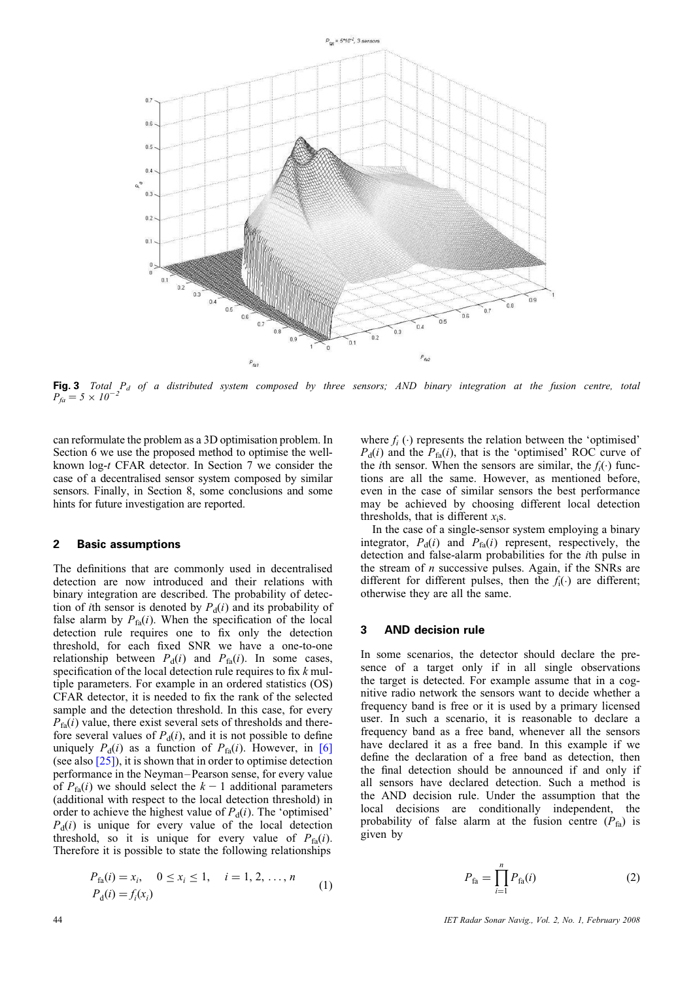

Fig. 3 Total  $P_d$  of a distributed system composed by three sensors; AND binary integration at the fusion centre, total  $P_{fa} = 5 \times 10^{-7}$ 

can reformulate the problem as a 3D optimisation problem. In Section 6 we use the proposed method to optimise the wellknown log-t CFAR detector. In Section 7 we consider the case of a decentralised sensor system composed by similar sensors. Finally, in Section 8, some conclusions and some hints for future investigation are reported.

# 2 Basic assumptions

The definitions that are commonly used in decentralised detection are now introduced and their relations with binary integration are described. The probability of detection of *i*th sensor is denoted by  $P_d(i)$  and its probability of false alarm by  $P_{fa}(i)$ . When the specification of the local detection rule requires one to fix only the detection threshold, for each fixed SNR we have a one-to-one relationship between  $P_d(i)$  and  $P_{fa}(i)$ . In some cases, specification of the local detection rule requires to fix  $k$  multiple parameters. For example in an ordered statistics (OS) CFAR detector, it is needed to fix the rank of the selected sample and the detection threshold. In this case, for every  $P_{\text{fa}}(i)$  value, there exist several sets of thresholds and therefore several values of  $P_d(i)$ , and it is not possible to define uniquely  $P_d(i)$  as a function of  $P_{fa}(i)$ . However, in [6] (see also [25]), it is shown that in order to optimise detection performance in the Neyman–Pearson sense, for every value of  $P_{fa}(i)$  we should select the  $k-1$  additional parameters (additional with respect to the local detection threshold) in order to achieve the highest value of  $P_d(i)$ . The 'optimised'  $P_d(i)$  is unique for every value of the local detection threshold, so it is unique for every value of  $P_{fa}(i)$ . Therefore it is possible to state the following relationships

$$
P_{fa}(i) = x_i, \quad 0 \le x_i \le 1, \quad i = 1, 2, ..., n
$$
  
\n
$$
P_{d}(i) = f_i(x_i)
$$
 (1)

where  $f_i(\cdot)$  represents the relation between the 'optimised'  $P_d(i)$  and the  $P_{fa}(i)$ , that is the 'optimised' ROC curve of the *i*th sensor. When the sensors are similar, the  $f_i(\cdot)$  functions are all the same. However, as mentioned before, even in the case of similar sensors the best performance may be achieved by choosing different local detection thresholds, that is different  $x_i$ s.

In the case of a single-sensor system employing a binary integrator,  $P_d(i)$  and  $P_{fa}(i)$  represent, respectively, the detection and false-alarm probabilities for the ith pulse in the stream of  $n$  successive pulses. Again, if the SNRs are different for different pulses, then the  $f_i(\cdot)$  are different; otherwise they are all the same.

#### 3 AND decision rule

In some scenarios, the detector should declare the presence of a target only if in all single observations the target is detected. For example assume that in a cognitive radio network the sensors want to decide whether a frequency band is free or it is used by a primary licensed user. In such a scenario, it is reasonable to declare a frequency band as a free band, whenever all the sensors have declared it as a free band. In this example if we define the declaration of a free band as detection, then the final detection should be announced if and only if all sensors have declared detection. Such a method is the AND decision rule. Under the assumption that the local decisions are conditionally independent, the probability of false alarm at the fusion centre  $(P_{fa})$  is given by

$$
P_{\text{fa}} = \prod_{i=1}^{n} P_{\text{fa}}(i) \tag{2}
$$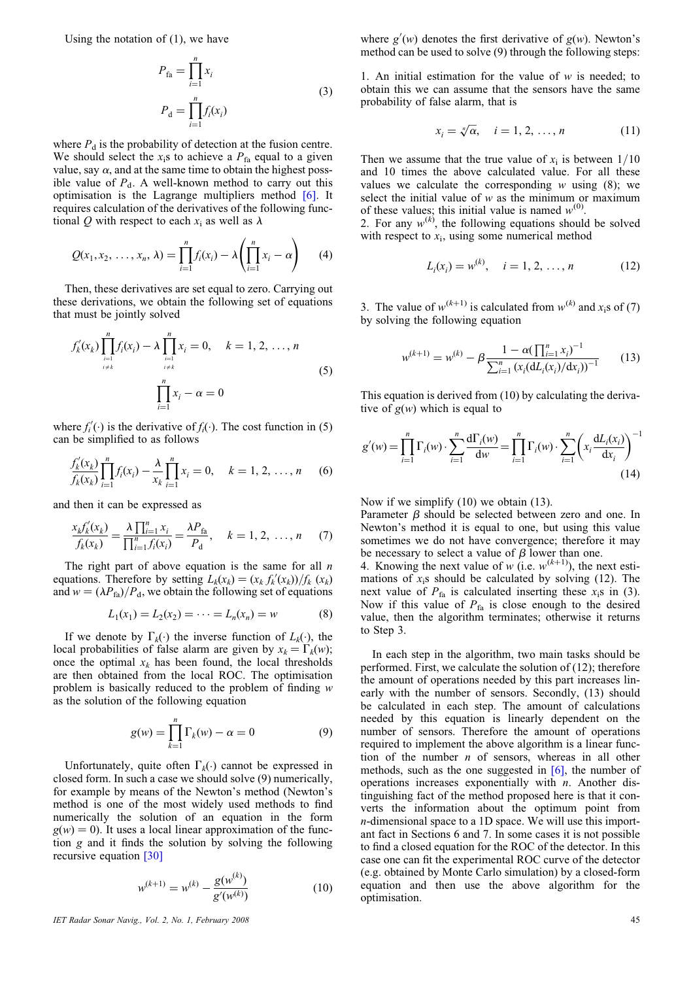Using the notation of  $(1)$ , we have

$$
P_{\text{fa}} = \prod_{i=1}^{n} x_i
$$
  
\n
$$
P_{\text{d}} = \prod_{i=1}^{n} f_i(x_i)
$$
\n(3)

where  $P_d$  is the probability of detection at the fusion centre. We should select the  $x_i$ s to achieve a  $P_{fa}$  equal to a given value, say  $\alpha$ , and at the same time to obtain the highest possible value of  $P_d$ . A well-known method to carry out this optimisation is the Lagrange multipliers method [6]. It requires calculation of the derivatives of the following functional Q with respect to each  $x_i$  as well as  $\lambda$ 

$$
Q(x_1, x_2, ..., x_n, \lambda) = \prod_{i=1}^n f_i(x_i) - \lambda \left( \prod_{i=1}^n x_i - \alpha \right)
$$
 (4)

Then, these derivatives are set equal to zero. Carrying out these derivations, we obtain the following set of equations that must be jointly solved

$$
f'_{k}(x_{k}) \prod_{\substack{i=1 \ i \neq k}}^{n} f_{i}(x_{i}) - \lambda \prod_{\substack{i=1 \ i \neq k}}^{n} x_{i} = 0, \quad k = 1, 2, ..., n
$$
  

$$
\prod_{i=1}^{n} x_{i} - \alpha = 0
$$
 (5)

where  $f_i'(\cdot)$  is the derivative of  $f_i(\cdot)$ . The cost function in (5) can be simplified to as follows

$$
\frac{f'_k(x_k)}{f_k(x_k)}\prod_{i=1}^n f_i(x_i) - \frac{\lambda}{x_k}\prod_{i=1}^n x_i = 0, \quad k = 1, 2, ..., n \quad (6)
$$

and then it can be expressed as

$$
\frac{x_k f'_k(x_k)}{f_k(x_k)} = \frac{\lambda \prod_{i=1}^n x_i}{\prod_{i=1}^n f_i(x_i)} = \frac{\lambda P_{\text{fa}}}{P_{\text{d}}}, \quad k = 1, 2, \dots, n \tag{7}
$$

The right part of above equation is the same for all  $n$ equations. Therefore by setting  $L_k(x_k) = (x_k f_k'(x_k)) / f_k(x_k)$ and  $w = (\lambda P_{fa})/P_d$ , we obtain the following set of equations

$$
L_1(x_1) = L_2(x_2) = \dots = L_n(x_n) = w \tag{8}
$$

If we denote by  $\Gamma_k(\cdot)$  the inverse function of  $L_k(\cdot)$ , the local probabilities of false alarm are given by  $x_k = \Gamma_k(w)$ ; once the optimal  $x_k$  has been found, the local thresholds are then obtained from the local ROC. The optimisation problem is basically reduced to the problem of finding w as the solution of the following equation

$$
g(w) = \prod_{k=1}^{n} \Gamma_k(w) - \alpha = 0
$$
 (9)

Unfortunately, quite often  $\Gamma_k(\cdot)$  cannot be expressed in closed form. In such a case we should solve (9) numerically, for example by means of the Newton's method (Newton's method is one of the most widely used methods to find numerically the solution of an equation in the form  $g(w) = 0$ ). It uses a local linear approximation of the function g and it finds the solution by solving the following recursive equation [30]

$$
w^{(k+1)} = w^{(k)} - \frac{g(w^{(k)})}{g'(w^{(k)})}
$$
(10)

IET Radar Sonar Navig., Vol. 2, No. 1, February 2008 45

where  $g'(w)$  denotes the first derivative of  $g(w)$ . Newton's method can be used to solve (9) through the following steps:

1. An initial estimation for the value of  $w$  is needed; to obtain this we can assume that the sensors have the same probability of false alarm, that is

$$
x_i = \sqrt[n]{\alpha}, \quad i = 1, 2, ..., n
$$
 (11)

Then we assume that the true value of  $x_i$  is between  $1/10$ and 10 times the above calculated value. For all these values we calculate the corresponding  $w$  using  $(8)$ ; we select the initial value of  $w$  as the minimum or maximum of these values; this initial value is named  $w^{(0)}$ .

2. For any  $w^{(k)}$ , the following equations should be solved with respect to  $x_i$ , using some numerical method

$$
L_i(x_i) = w^{(k)}, \quad i = 1, 2, \dots, n \tag{12}
$$

3. The value of  $w^{(k+1)}$  is calculated from  $w^{(k)}$  and x<sub>i</sub>s of (7) by solving the following equation

$$
w^{(k+1)} = w^{(k)} - \beta \frac{1 - \alpha (\prod_{i=1}^{n} x_i)^{-1}}{\sum_{i=1}^{n} (x_i (\mathrm{d}L_i(x_i)/\mathrm{d}x_i))^{-1}} \qquad (13)
$$

This equation is derived from (10) by calculating the derivative of  $g(w)$  which is equal to

$$
g'(w) = \prod_{i=1}^{n} \Gamma_i(w) \cdot \sum_{i=1}^{n} \frac{d\Gamma_i(w)}{dw} = \prod_{i=1}^{n} \Gamma_i(w) \cdot \sum_{i=1}^{n} \left( x_i \frac{dL_i(x_i)}{dx_i} \right)^{-1}
$$
(14)

Now if we simplify (10) we obtain (13).

Parameter  $\beta$  should be selected between zero and one. In Newton's method it is equal to one, but using this value sometimes we do not have convergence; therefore it may be necessary to select a value of  $\beta$  lower than one.

4. Knowing the next value of w (i.e.  $w^{(k+1)}$ ), the next estimations of  $x_i$ s should be calculated by solving (12). The next value of  $P_{fa}$  is calculated inserting these  $x_i$ s in (3). Now if this value of  $P_{fa}$  is close enough to the desired value, then the algorithm terminates; otherwise it returns to Step 3.

In each step in the algorithm, two main tasks should be performed. First, we calculate the solution of (12); therefore the amount of operations needed by this part increases linearly with the number of sensors. Secondly, (13) should be calculated in each step. The amount of calculations needed by this equation is linearly dependent on the number of sensors. Therefore the amount of operations required to implement the above algorithm is a linear function of the number  $n$  of sensors, whereas in all other methods, such as the one suggested in  $[6]$ , the number of operations increases exponentially with  $n$ . Another distinguishing fact of the method proposed here is that it converts the information about the optimum point from n-dimensional space to a 1D space. We will use this important fact in Sections 6 and 7. In some cases it is not possible to find a closed equation for the ROC of the detector. In this case one can fit the experimental ROC curve of the detector (e.g. obtained by Monte Carlo simulation) by a closed-form equation and then use the above algorithm for the optimisation.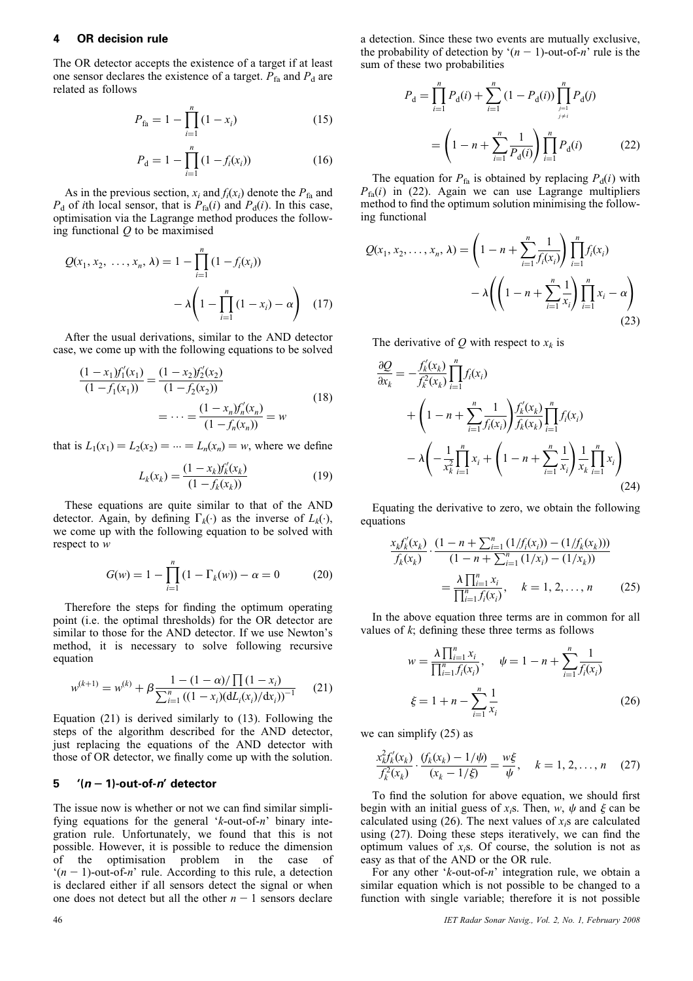# 4 OR decision rule

The OR detector accepts the existence of a target if at least one sensor declares the existence of a target.  $P_{fa}$  and  $P_d$  are related as follows

$$
P_{\text{fa}} = 1 - \prod_{i=1}^{n} (1 - x_i)
$$
 (15)

$$
P_{\rm d} = 1 - \prod_{i=1}^{n} (1 - f_i(x_i)) \tag{16}
$$

As in the previous section,  $x_i$  and  $f_i(x_i)$  denote the  $P_{fa}$  and  $P_d$  of *i*th local sensor, that is  $P_{fa}(i)$  and  $P_d(i)$ . In this case, optimisation via the Lagrange method produces the following functional  $Q$  to be maximised

$$
Q(x_1, x_2, ..., x_n, \lambda) = 1 - \prod_{i=1}^n (1 - f_i(x_i))
$$

$$
- \lambda \left(1 - \prod_{i=1}^n (1 - x_i) - \alpha\right) \quad (17)
$$

After the usual derivations, similar to the AND detector case, we come up with the following equations to be solved

$$
\frac{(1 - x_1)f_1'(x_1)}{(1 - f_1(x_1))} = \frac{(1 - x_2)f_2'(x_2)}{(1 - f_2(x_2))}
$$
  
= 
$$
\cdots = \frac{(1 - x_n)f_n'(x_n)}{(1 - f_n(x_n))} = w
$$
 (18)

that is  $L_1(x_1) = L_2(x_2) = \cdots = L_n(x_n) = w$ , where we define

$$
L_k(x_k) = \frac{(1 - x_k)f'_k(x_k)}{(1 - f_k(x_k))}
$$
(19)

These equations are quite similar to that of the AND detector. Again, by defining  $\Gamma_k(\cdot)$  as the inverse of  $L_k(\cdot)$ , we come up with the following equation to be solved with respect to w

$$
G(w) = 1 - \prod_{i=1}^{n} (1 - \Gamma_k(w)) - \alpha = 0
$$
 (20)

Therefore the steps for finding the optimum operating point (i.e. the optimal thresholds) for the OR detector are similar to those for the AND detector. If we use Newton's method, it is necessary to solve following recursive equation

$$
w^{(k+1)} = w^{(k)} + \beta \frac{1 - (1 - \alpha)/\prod (1 - x_i)}{\sum_{i=1}^{n} ((1 - x_i)(dL_i(x_i)/dx_i))^{-1}} \qquad (21)
$$

Equation (21) is derived similarly to (13). Following the steps of the algorithm described for the AND detector, just replacing the equations of the AND detector with those of OR detector, we finally come up with the solution.

#### 5 '(n - 1)-out-of-n' detector

The issue now is whether or not we can find similar simplifying equations for the general ' $k$ -out-of-n' binary integration rule. Unfortunately, we found that this is not possible. However, it is possible to reduce the dimension of the optimisation problem in the case of  $(n - 1)$ -out-of-n' rule. According to this rule, a detection is declared either if all sensors detect the signal or when one does not detect but all the other  $n - 1$  sensors declare

$$
P_{\rm d} = \prod_{i=1}^{n} P_{\rm d}(i) + \sum_{i=1}^{n} (1 - P_{\rm d}(i)) \prod_{\substack{j=1 \ j \neq i}}^{n} P_{\rm d}(j)
$$

$$
= \left(1 - n + \sum_{i=1}^{n} \frac{1}{P_{\rm d}(i)}\right) \prod_{i=1}^{n} P_{\rm d}(i) \tag{22}
$$

The equation for  $P_{fa}$  is obtained by replacing  $P_d(i)$  with  $P_{fa}(i)$  in (22). Again we can use Lagrange multipliers method to find the optimum solution minimising the following functional

$$
Q(x_1, x_2, ..., x_n, \lambda) = \left(1 - n + \sum_{i=1}^n \frac{1}{f_i(x_i)}\right) \prod_{i=1}^n f_i(x_i)
$$

$$
- \lambda \left(\left(1 - n + \sum_{i=1}^n \frac{1}{x_i}\right) \prod_{i=1}^n x_i - \alpha\right)
$$
(23)

The derivative of Q with respect to  $x_k$  is

$$
\frac{\partial Q}{\partial x_k} = -\frac{f'_k(x_k)}{f_k^2(x_k)} \prod_{i=1}^n f_i(x_i)
$$
\n
$$
+ \left(1 - n + \sum_{i=1}^n \frac{1}{f_i(x_i)} \right) \frac{f'_k(x_k)}{f_k(x_k)} \prod_{i=1}^n f_i(x_i)
$$
\n
$$
- \lambda \left( -\frac{1}{x_k^2} \prod_{i=1}^n x_i + \left(1 - n + \sum_{i=1}^n \frac{1}{x_i} \right) \frac{1}{x_k} \prod_{i=1}^n x_i \right)
$$
\n(24)

Equating the derivative to zero, we obtain the following equations

$$
\frac{x_k f'_k(x_k)}{f_k(x_k)} \cdot \frac{(1 - n + \sum_{i=1}^n (1/f_i(x_i)) - (1/f_k(x_k)))}{(1 - n + \sum_{i=1}^n (1/x_i) - (1/x_k))}
$$
\n
$$
= \frac{\lambda \prod_{i=1}^n x_i}{\prod_{i=1}^n f_i(x_i)}, \quad k = 1, 2, ..., n \qquad (25)
$$

In the above equation three terms are in common for all values of  $k$ ; defining these three terms as follows

$$
w = \frac{\lambda \prod_{i=1}^{n} x_i}{\prod_{i=1}^{n} f_i(x_i)}, \quad \psi = 1 - n + \sum_{i=1}^{n} \frac{1}{f_i(x_i)}
$$

$$
\xi = 1 + n - \sum_{i=1}^{n} \frac{1}{x_i}
$$
(26)

we can simplify (25) as

$$
\frac{x_k^2 f'_k(x_k)}{f_k^2(x_k)} \cdot \frac{(f_k(x_k) - 1/\psi)}{(x_k - 1/\xi)} = \frac{w\xi}{\psi}, \quad k = 1, 2, \dots, n \quad (27)
$$

To find the solution for above equation, we should first begin with an initial guess of  $x_i$ s. Then, w,  $\psi$  and  $\xi$  can be calculated using (26). The next values of  $x_i$ s are calculated using (27). Doing these steps iteratively, we can find the optimum values of  $x_i$ s. Of course, the solution is not as easy as that of the AND or the OR rule.

For any other ' $k$ -out-of- $n$ ' integration rule, we obtain a similar equation which is not possible to be changed to a function with single variable; therefore it is not possible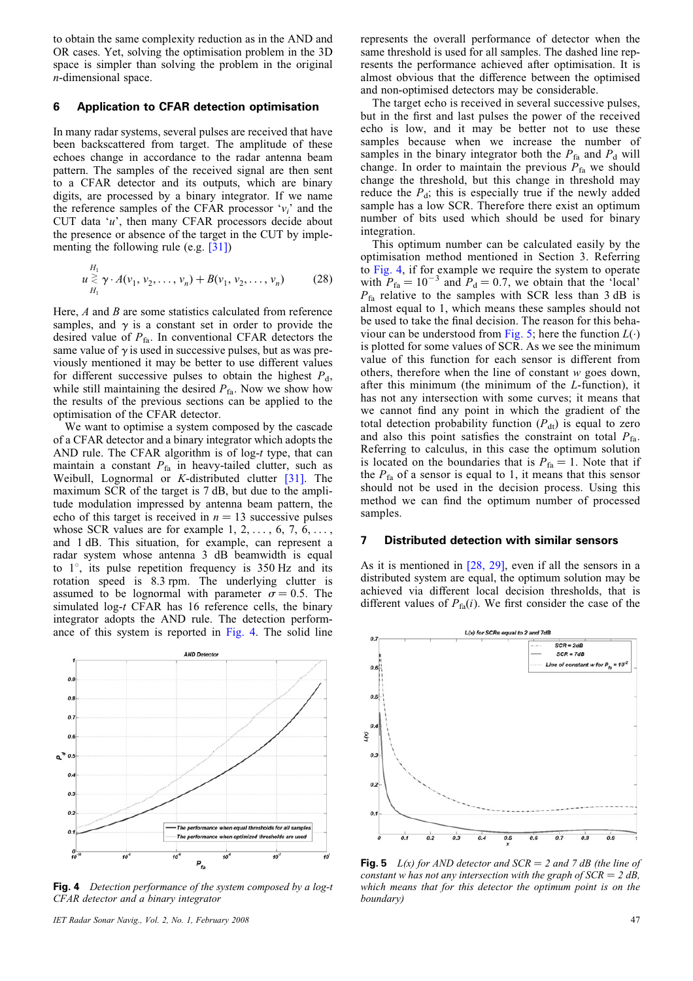to obtain the same complexity reduction as in the AND and OR cases. Yet, solving the optimisation problem in the 3D space is simpler than solving the problem in the original n-dimensional space.

#### 6 Application to CFAR detection optimisation

In many radar systems, several pulses are received that have been backscattered from target. The amplitude of these echoes change in accordance to the radar antenna beam pattern. The samples of the received signal are then sent to a CFAR detector and its outputs, which are binary digits, are processed by a binary integrator. If we name the reference samples of the CFAR processor ' $v_i$ ' and the CUT data 'u', then many CFAR processors decide about the presence or absence of the target in the CUT by implementing the following rule (e.g. [31])

$$
u \gtrless u_1 \gtrsim \gamma \cdot A(v_1, v_2, \dots, v_n) + B(v_1, v_2, \dots, v_n)
$$
 (28)

Here,  $A$  and  $B$  are some statistics calculated from reference samples, and  $\gamma$  is a constant set in order to provide the desired value of  $P_{fa}$ . In conventional CFAR detectors the same value of  $\gamma$  is used in successive pulses, but as was previously mentioned it may be better to use different values for different successive pulses to obtain the highest  $P_d$ , while still maintaining the desired  $P_{fa}$ . Now we show how the results of the previous sections can be applied to the optimisation of the CFAR detector.

We want to optimise a system composed by the cascade of a CFAR detector and a binary integrator which adopts the AND rule. The CFAR algorithm is of log-t type, that can maintain a constant  $P_{fa}$  in heavy-tailed clutter, such as Weibull, Lognormal or  $K$ -distributed clutter [31]. The maximum SCR of the target is 7 dB, but due to the amplitude modulation impressed by antenna beam pattern, the echo of this target is received in  $n = 13$  successive pulses whose SCR values are for example  $1, 2, \ldots, 6, 7, 6, \ldots$ and 1 dB. This situation, for example, can represent a radar system whose antenna 3 dB beamwidth is equal to 1*8*, its pulse repetition frequency is 350 Hz and its rotation speed is 8.3 rpm. The underlying clutter is assumed to be lognormal with parameter  $\sigma = 0.5$ . The simulated log-t CFAR has 16 reference cells, the binary integrator adopts the AND rule. The detection performance of this system is reported in Fig. 4. The solid line



Fig. 4 Detection performance of the system composed by a log-t CFAR detector and a binary integrator

IET Radar Sonar Navig., Vol. 2, No. 1, February 2008 47

represents the overall performance of detector when the same threshold is used for all samples. The dashed line represents the performance achieved after optimisation. It is almost obvious that the difference between the optimised and non-optimised detectors may be considerable.

The target echo is received in several successive pulses, but in the first and last pulses the power of the received echo is low, and it may be better not to use these samples because when we increase the number of samples in the binary integrator both the  $P_{fa}$  and  $P_d$  will change. In order to maintain the previous  $P_{fa}$  we should change the threshold, but this change in threshold may reduce the  $P_d$ ; this is especially true if the newly added sample has a low SCR. Therefore there exist an optimum number of bits used which should be used for binary integration.

This optimum number can be calculated easily by the optimisation method mentioned in Section 3. Referring to Fig. 4, if for example we require the system to operate with  $P_{fa} = 10^{-3}$  and  $P_d = 0.7$ , we obtain that the 'local'  $P_{fa}$  relative to the samples with SCR less than 3 dB is almost equal to 1, which means these samples should not be used to take the final decision. The reason for this behaviour can be understood from Fig. 5; here the function  $L(·)$ is plotted for some values of SCR. As we see the minimum value of this function for each sensor is different from others, therefore when the line of constant w goes down, after this minimum (the minimum of the L-function), it has not any intersection with some curves; it means that we cannot find any point in which the gradient of the total detection probability function  $(P_{dt})$  is equal to zero and also this point satisfies the constraint on total  $P_{fa}$ . Referring to calculus, in this case the optimum solution is located on the boundaries that is  $P_{fa} = 1$ . Note that if the  $P_{fa}$  of a sensor is equal to 1, it means that this sensor should not be used in the decision process. Using this method we can find the optimum number of processed samples.

# 7 Distributed detection with similar sensors

As it is mentioned in [28, 29], even if all the sensors in a distributed system are equal, the optimum solution may be achieved via different local decision thresholds, that is different values of  $P_{fa}(i)$ . We first consider the case of the



Fig. 5 L(x) for AND detector and  $SCR = 2$  and 7 dB (the line of constant w has not any intersection with the graph of  $SCR = 2 dB$ , which means that for this detector the optimum point is on the boundary)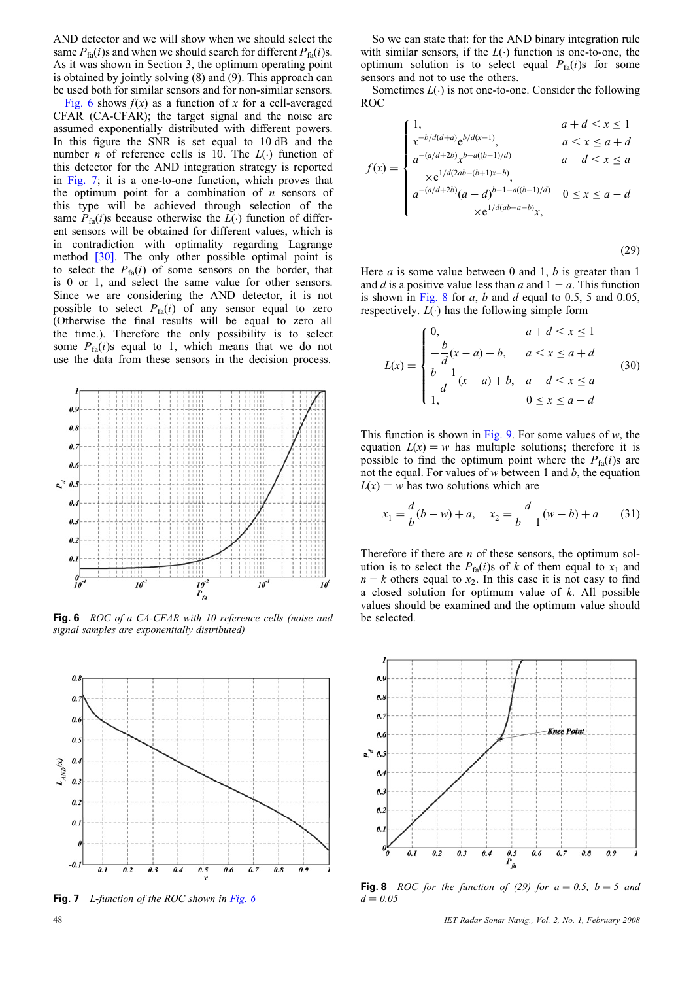AND detector and we will show when we should select the same  $P_{fa}(i)$ s and when we should search for different  $P_{fa}(i)$ s. As it was shown in Section 3, the optimum operating point is obtained by jointly solving (8) and (9). This approach can be used both for similar sensors and for non-similar sensors.

Fig. 6 shows  $f(x)$  as a function of x for a cell-averaged CFAR (CA-CFAR); the target signal and the noise are assumed exponentially distributed with different powers. In this figure the SNR is set equal to 10 dB and the number *n* of reference cells is 10. The  $L(·)$  function of this detector for the AND integration strategy is reported in Fig. 7; it is a one-to-one function, which proves that the optimum point for a combination of  $n$  sensors of this type will be achieved through selection of the same  $P_{\text{fa}}(i)$ s because otherwise the  $L(\cdot)$  function of different sensors will be obtained for different values, which is in contradiction with optimality regarding Lagrange method [30]. The only other possible optimal point is to select the  $P_{fa}(i)$  of some sensors on the border, that is 0 or 1, and select the same value for other sensors. Since we are considering the AND detector, it is not possible to select  $P_{fa}(i)$  of any sensor equal to zero (Otherwise the final results will be equal to zero all the time.). Therefore the only possibility is to select some  $P_{fa}(i)$ s equal to 1, which means that we do not use the data from these sensors in the decision process.



Fig. 6 ROC of a CA-CFAR with 10 reference cells (noise and be selected. signal samples are exponentially distributed)



Fig. 7 L-function of the ROC shown in Fig. 6

So we can state that: for the AND binary integration rule with similar sensors, if the  $L(\cdot)$  function is one-to-one, the optimum solution is to select equal  $P_{fa}(i)$ s for some sensors and not to use the others.

Sometimes  $L(\cdot)$  is not one-to-one. Consider the following ROC

$$
f(x) = \begin{cases} 1, & a+d < x \le 1 \\ x^{-b/d(d+a)} e^{b/d(x-1)}, & a < x \le a+d \\ a^{-(a/d+2b)} x^{b-a((b-1)/d)} & a-d < x \le a \\ x e^{1/d(2ab-(b+1)x-b)}, & a^{-(a/d+2b)}(a-d)^{b-1-a((b-1)/d)} & 0 \le x \le a-d \\ x e^{1/d(ab-a-b)}x, & \end{cases}
$$

(29)

Here  $a$  is some value between 0 and 1,  $b$  is greater than 1 and d is a positive value less than a and  $1 - a$ . This function is shown in Fig. 8 for  $a$ ,  $b$  and  $d$  equal to 0.5, 5 and 0.05, respectively.  $L(\cdot)$  has the following simple form

$$
L(x) = \begin{cases} 0, & a+d < x \le 1 \\ -\frac{b}{d}(x-a) + b, & a < x \le a+d \\ \frac{b-1}{d}(x-a) + b, & a-d < x \le a \\ 1, & 0 \le x \le a-d \end{cases}
$$
(30)

This function is shown in Fig. 9. For some values of  $w$ , the equation  $L(x) = w$  has multiple solutions; therefore it is possible to find the optimum point where the  $P_{fa}(i)$ s are not the equal. For values of  $w$  between 1 and  $b$ , the equation  $L(x) = w$  has two solutions which are

$$
x_1 = \frac{d}{b}(b - w) + a, \quad x_2 = \frac{d}{b - 1}(w - b) + a \tag{31}
$$

Therefore if there are  $n$  of these sensors, the optimum solution is to select the  $P_{fa}(i)$ s of k of them equal to  $x_1$  and  $n - k$  others equal to  $x_2$ . In this case it is not easy to find a closed solution for optimum value of  $k$ . All possible values should be examined and the optimum value should



Fig. 8 ROC for the function of (29) for  $a = 0.5$ ,  $b = 5$  and  $d = 0.05$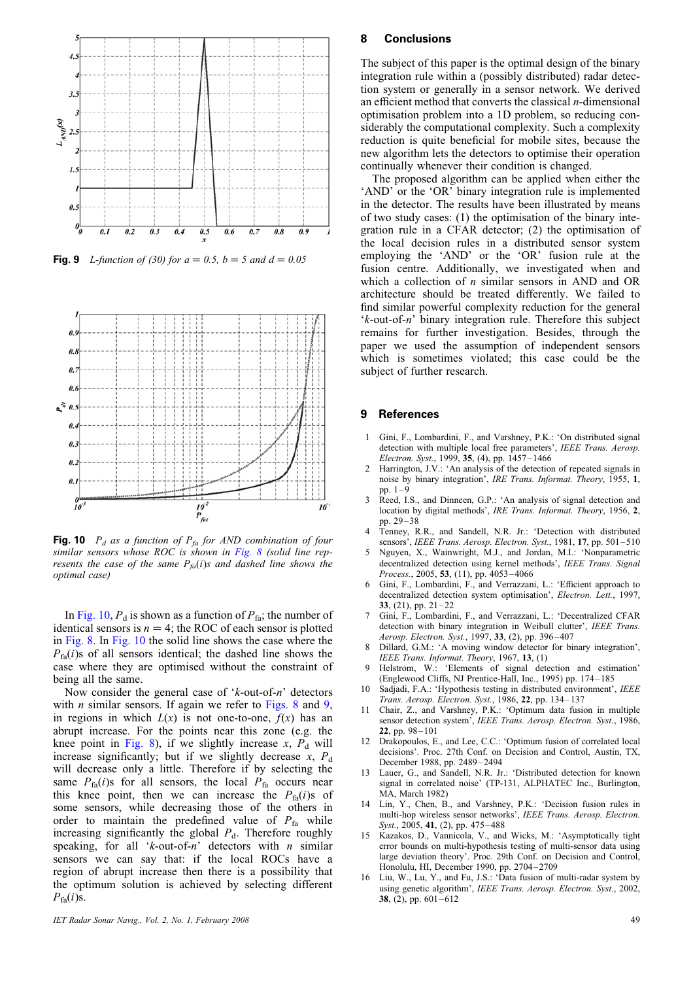

**Fig. 9** L-function of (30) for  $a = 0.5$ ,  $b = 5$  and  $d = 0.05$ 



Fig. 10  $P_d$  as a function of  $P_{fa}$  for AND combination of four similar sensors whose ROC is shown in Fig. 8 (solid line represents the case of the same  $P_{fa}(i)$ s and dashed line shows the optimal case)

In Fig. 10,  $P_d$  is shown as a function of  $P_{fa}$ ; the number of identical sensors is  $n = 4$ ; the ROC of each sensor is plotted in Fig. 8. In Fig. 10 the solid line shows the case where the  $P_{f_a}(i)$ s of all sensors identical; the dashed line shows the case where they are optimised without the constraint of being all the same.

Now consider the general case of  $k$ -out-of-n' detectors with *n* similar sensors. If again we refer to Figs. 8 and 9, in regions in which  $L(x)$  is not one-to-one,  $f(x)$  has an abrupt increase. For the points near this zone (e.g. the knee point in Fig. 8), if we slightly increase  $x$ ,  $P_d$  will increase significantly; but if we slightly decrease  $x$ ,  $P_d$ will decrease only a little. Therefore if by selecting the same  $P_{fa}(i)$ s for all sensors, the local  $P_{fa}$  occurs near this knee point, then we can increase the  $P_{fa}(i)$ s of some sensors, while decreasing those of the others in order to maintain the predefined value of  $P_{fa}$  while increasing significantly the global  $P_d$ . Therefore roughly speaking, for all 'k-out-of-n' detectors with *n* similar sensors we can say that: if the local ROCs have a region of abrupt increase then there is a possibility that the optimum solution is achieved by selecting different  $P_{\text{fa}}(i)$ s.

# 8 Conclusions

The subject of this paper is the optimal design of the binary integration rule within a (possibly distributed) radar detection system or generally in a sensor network. We derived an efficient method that converts the classical  $n$ -dimensional optimisation problem into a 1D problem, so reducing considerably the computational complexity. Such a complexity reduction is quite beneficial for mobile sites, because the new algorithm lets the detectors to optimise their operation continually whenever their condition is changed.

The proposed algorithm can be applied when either the 'AND' or the 'OR' binary integration rule is implemented in the detector. The results have been illustrated by means of two study cases: (1) the optimisation of the binary integration rule in a CFAR detector; (2) the optimisation of the local decision rules in a distributed sensor system employing the 'AND' or the 'OR' fusion rule at the fusion centre. Additionally, we investigated when and which a collection of n similar sensors in AND and OR architecture should be treated differently. We failed to find similar powerful complexity reduction for the general 'k-out-of-n' binary integration rule. Therefore this subject remains for further investigation. Besides, through the paper we used the assumption of independent sensors which is sometimes violated; this case could be the subject of further research.

#### 9 References

- 1 Gini, F., Lombardini, F., and Varshney, P.K.: 'On distributed signal detection with multiple local free parameters', IEEE Trans. Aerosp. Electron. Syst., 1999, 35, (4), pp.  $1457 - 1466$
- 2 Harrington, J.V.: 'An analysis of the detection of repeated signals in noise by binary integration', IRE Trans. Informat. Theory, 1955, 1, pp. 1–9
- 3 Reed, I.S., and Dinneen, G.P.: 'An analysis of signal detection and location by digital methods', IRE Trans. Informat. Theory, 1956, 2, pp. 29–38
- 4 Tenney, R.R., and Sandell, N.R. Jr.: 'Detection with distributed sensors', IEEE Trans. Aerosp. Electron. Syst., 1981, 17, pp. 501-510
- 5 Nguyen, X., Wainwright, M.J., and Jordan, M.I.: 'Nonparametric decentralized detection using kernel methods', IEEE Trans. Signal Process., 2005, 53, (11), pp. 4053–4066
- 6 Gini, F., Lombardini, F., and Verrazzani, L.: 'Efficient approach to decentralized detection system optimisation', Electron. Lett., 1997, 33,  $(21)$ , pp.  $21-22$
- 7 Gini, F., Lombardini, F., and Verrazzani, L.: 'Decentralized CFAR detection with binary integration in Weibull clutter', IEEE Trans. Aerosp. Electron. Syst., 1997, 33, (2), pp. 396–407
- 8 Dillard, G.M.: 'A moving window detector for binary integration', IEEE Trans. Informat. Theory, 1967, 13, (1)
- Helstrom, W.: 'Elements of signal detection and estimation' (Englewood Cliffs, NJ Prentice-Hall, Inc., 1995) pp. 174–185
- 10 Sadjadi, F.A.: 'Hypothesis testing in distributed environment', IEEE Trans. Aerosp. Electron. Syst., 1986, 22, pp. 134–137
- 11 Chair, Z., and Varshney, P.K.: 'Optimum data fusion in multiple sensor detection system', IEEE Trans. Aerosp. Electron. Syst., 1986, 22, pp. 98–101
- 12 Drakopoulos, E., and Lee, C.C.: 'Optimum fusion of correlated local decisions'. Proc. 27th Conf. on Decision and Control, Austin, TX, December 1988, pp. 2489–2494
- 13 Lauer, G., and Sandell, N.R. Jr.: 'Distributed detection for known signal in correlated noise' (TP-131, ALPHATEC Inc., Burlington, MA, March 1982)
- Lin, Y., Chen, B., and Varshney, P.K.: 'Decision fusion rules in multi-hop wireless sensor networks', IEEE Trans. Aerosp. Electron.  $Syst., 2005, 41, (2), pp. 475-488$
- 15 Kazakos, D., Vannicola, V., and Wicks, M.: 'Asymptotically tight error bounds on multi-hypothesis testing of multi-sensor data using large deviation theory'. Proc. 29th Conf. on Decision and Control, Honolulu, HI, December 1990, pp. 2704–2709
- $16$  Liu, W., Lu, Y., and Fu, J.S.: 'Data fusion of multi-radar system by using genetic algorithm', IEEE Trans. Aerosp. Electron. Syst., 2002, 38, (2), pp. 601–612